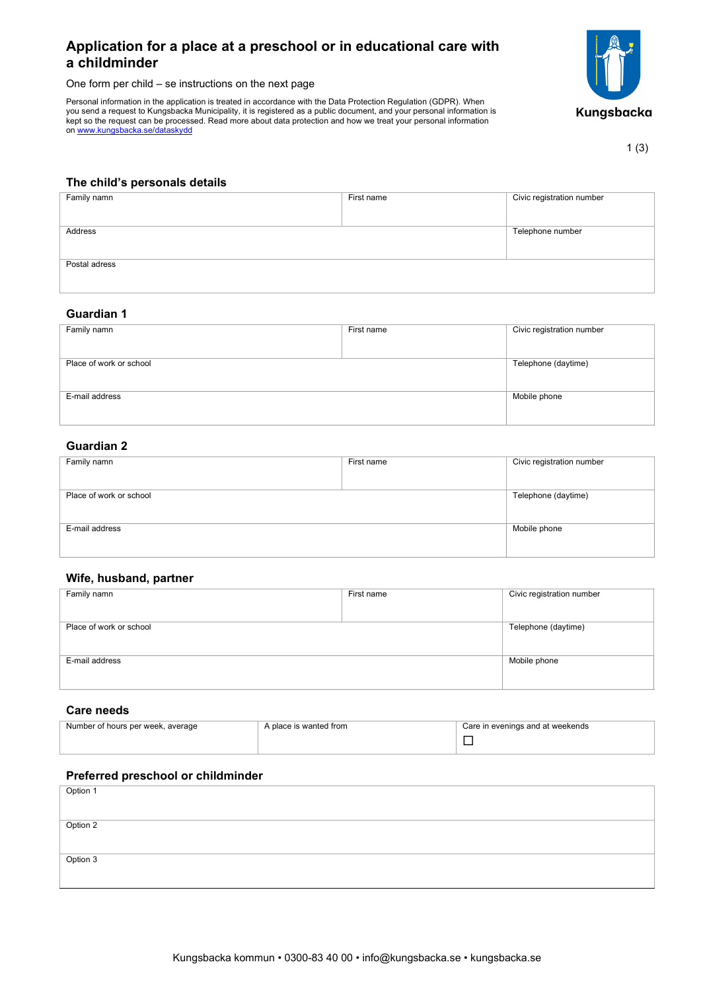# **Application for a place at a preschool or in educational care with a childminder**

One form per child – se instructions on the next page

Personal information in the application is treated in accordance with the Data Protection Regulation (GDPR). When you send a request to Kungsbacka Municipality, it is registered as a public document, and your personal information is kept so the request can be processed. Read more about data protection and how we treat your personal information on [www.kungsbacka.se/dataskydd](https://www.kungsbacka.se/dataskydd)



1 (3)

### **The child's personals details**

| Family namn   | First name       | Civic registration number |
|---------------|------------------|---------------------------|
|               |                  |                           |
| Address       | Telephone number |                           |
|               |                  |                           |
| Postal adress |                  |                           |
|               |                  |                           |

### **Guardian 1**

| Family namn             | First name | Civic registration number |
|-------------------------|------------|---------------------------|
|                         |            |                           |
|                         |            |                           |
|                         |            |                           |
|                         |            |                           |
|                         |            |                           |
| Place of work or school |            | Telephone (daytime)       |
|                         |            |                           |
|                         |            |                           |
|                         |            |                           |
|                         |            |                           |
| E-mail address          |            | Mobile phone              |
|                         |            |                           |
|                         |            |                           |
|                         |            |                           |
|                         |            |                           |

# **Guardian 2**

| Family namn             | First name          | Civic registration number |
|-------------------------|---------------------|---------------------------|
| Place of work or school | Telephone (daytime) |                           |
| E-mail address          |                     | Mobile phone              |

### **Wife, husband, partner**

| Family namn             | First name | Civic registration number |
|-------------------------|------------|---------------------------|
|                         |            |                           |
|                         |            |                           |
|                         |            |                           |
|                         |            |                           |
|                         |            |                           |
|                         |            |                           |
| Place of work or school |            | Telephone (daytime)       |
|                         |            |                           |
|                         |            |                           |
|                         |            |                           |
|                         |            |                           |
|                         |            |                           |
| E-mail address          |            |                           |
|                         |            | Mobile phone              |
|                         |            |                           |
|                         |            |                           |
|                         |            |                           |
|                         |            |                           |
|                         |            |                           |

### **Care needs**

| Number of hours per week, average | A place is wanted from | Care in evenings and at weekends |
|-----------------------------------|------------------------|----------------------------------|
|                                   |                        |                                  |

### **Preferred preschool or childminder**

| Option 1 |  |
|----------|--|
|          |  |
| Option 2 |  |
|          |  |
| Option 3 |  |
|          |  |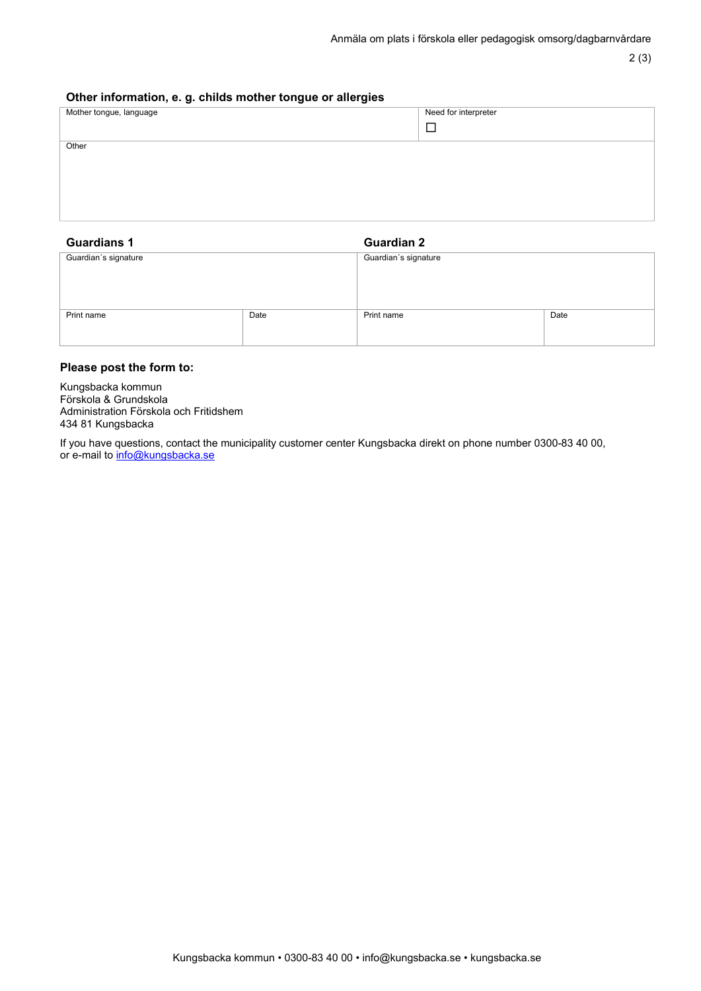2 (3)

# **Other information, e. g. childs mother tongue or allergies**

| Mother tongue, language | Need for interpreter<br>г |
|-------------------------|---------------------------|
| Other                   |                           |
|                         |                           |

# **Guardians 1 Guardian 2**

| Guardian's signature |      | Guardian's signature |      |
|----------------------|------|----------------------|------|
|                      |      |                      |      |
|                      |      |                      |      |
|                      |      |                      |      |
| Print name           | Date | Print name           | Date |
|                      |      |                      |      |
|                      |      |                      |      |
|                      |      |                      |      |

# **Please post the form to:**

Kungsbacka kommun Förskola & Grundskola Administration Förskola och Fritidshem 434 81 Kungsbacka

If you have questions, contact the municipality customer center Kungsbacka direkt on phone number 0300-83 40 00, or e-mail to [info@kungsbacka.se](mailto:info@kungsbacka.se)